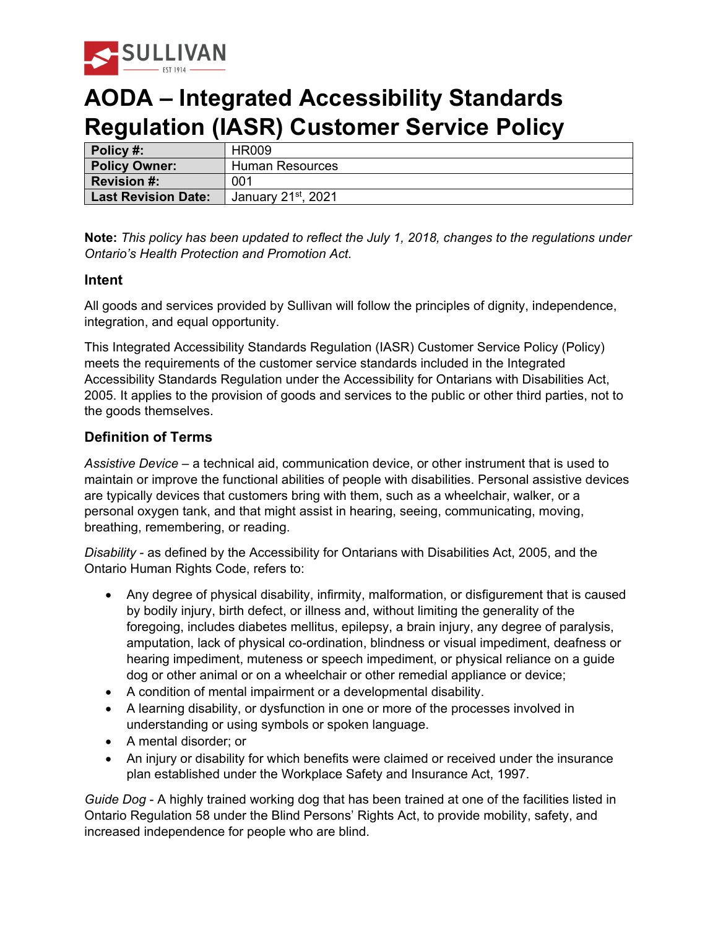

# **AODA – Integrated Accessibility Standards Regulation (IASR) Customer Service Policy**

| Policy #:                  | <b>HR009</b>       |
|----------------------------|--------------------|
| <b>Policy Owner:</b>       | Human Resources    |
| <b>Revision #:</b>         | 001                |
| <b>Last Revision Date:</b> | January 21st, 2021 |

**Note:** *This policy has been updated to reflect the July 1, 2018, changes to the regulations under Ontario's Health Protection and Promotion Act.* 

### **Intent**

All goods and services provided by Sullivan will follow the principles of dignity, independence, integration, and equal opportunity.

This Integrated Accessibility Standards Regulation (IASR) Customer Service Policy (Policy) meets the requirements of the customer service standards included in the Integrated Accessibility Standards Regulation under the Accessibility for Ontarians with Disabilities Act, 2005. It applies to the provision of goods and services to the public or other third parties, not to the goods themselves.

## **Definition of Terms**

*Assistive Device* – a technical aid, communication device, or other instrument that is used to maintain or improve the functional abilities of people with disabilities. Personal assistive devices are typically devices that customers bring with them, such as a wheelchair, walker, or a personal oxygen tank, and that might assist in hearing, seeing, communicating, moving, breathing, remembering, or reading.

*Disability* - as defined by the Accessibility for Ontarians with Disabilities Act, 2005, and the Ontario Human Rights Code, refers to:

- Any degree of physical disability, infirmity, malformation, or disfigurement that is caused by bodily injury, birth defect, or illness and, without limiting the generality of the foregoing, includes diabetes mellitus, epilepsy, a brain injury, any degree of paralysis, amputation, lack of physical co-ordination, blindness or visual impediment, deafness or hearing impediment, muteness or speech impediment, or physical reliance on a guide dog or other animal or on a wheelchair or other remedial appliance or device;
- A condition of mental impairment or a developmental disability.
- A learning disability, or dysfunction in one or more of the processes involved in understanding or using symbols or spoken language.
- A mental disorder; or
- An injury or disability for which benefits were claimed or received under the insurance plan established under the Workplace Safety and Insurance Act, 1997.

*Guide Dog* - A highly trained working dog that has been trained at one of the facilities listed in Ontario Regulation 58 under the Blind Persons' Rights Act, to provide mobility, safety, and increased independence for people who are blind.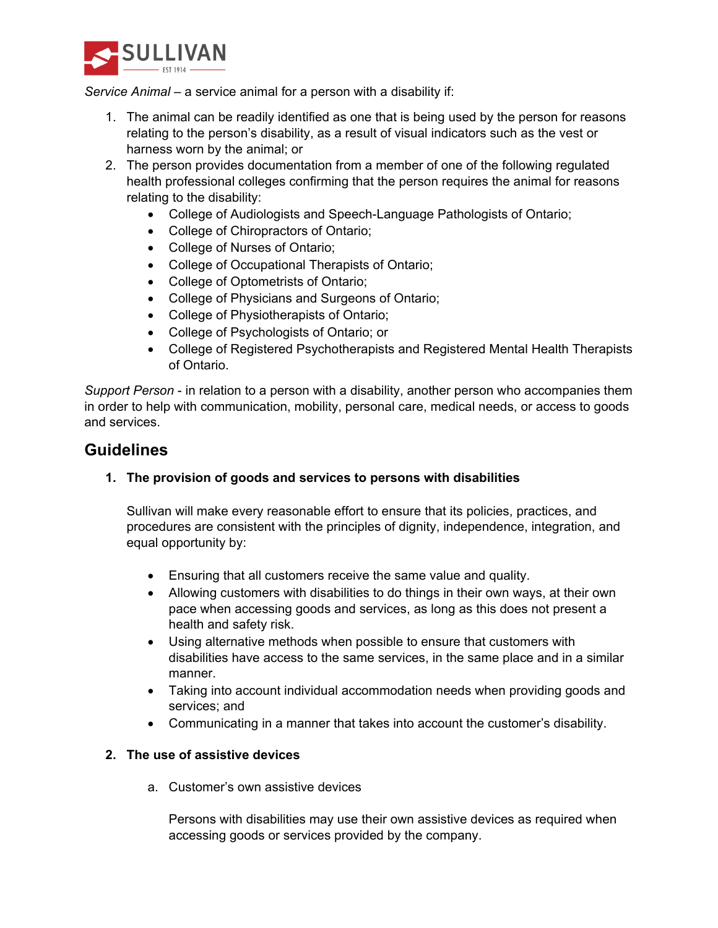

*Service Animal* – a service animal for a person with a disability if:

- 1. The animal can be readily identified as one that is being used by the person for reasons relating to the person's disability, as a result of visual indicators such as the vest or harness worn by the animal; or
- 2. The person provides documentation from a member of one of the following regulated health professional colleges confirming that the person requires the animal for reasons relating to the disability:
	- College of Audiologists and Speech-Language Pathologists of Ontario;
	- College of Chiropractors of Ontario;
	- College of Nurses of Ontario;
	- College of Occupational Therapists of Ontario;
	- College of Optometrists of Ontario;
	- College of Physicians and Surgeons of Ontario;
	- College of Physiotherapists of Ontario;
	- College of Psychologists of Ontario; or
	- College of Registered Psychotherapists and Registered Mental Health Therapists of Ontario.

*Support Person* - in relation to a person with a disability, another person who accompanies them in order to help with communication, mobility, personal care, medical needs, or access to goods and services.

## **Guidelines**

#### **1. The provision of goods and services to persons with disabilities**

Sullivan will make every reasonable effort to ensure that its policies, practices, and procedures are consistent with the principles of dignity, independence, integration, and equal opportunity by:

- Ensuring that all customers receive the same value and quality.
- Allowing customers with disabilities to do things in their own ways, at their own pace when accessing goods and services, as long as this does not present a health and safety risk.
- Using alternative methods when possible to ensure that customers with disabilities have access to the same services, in the same place and in a similar manner.
- Taking into account individual accommodation needs when providing goods and services; and
- Communicating in a manner that takes into account the customer's disability.

#### **2. The use of assistive devices**

a. Customer's own assistive devices

Persons with disabilities may use their own assistive devices as required when accessing goods or services provided by the company.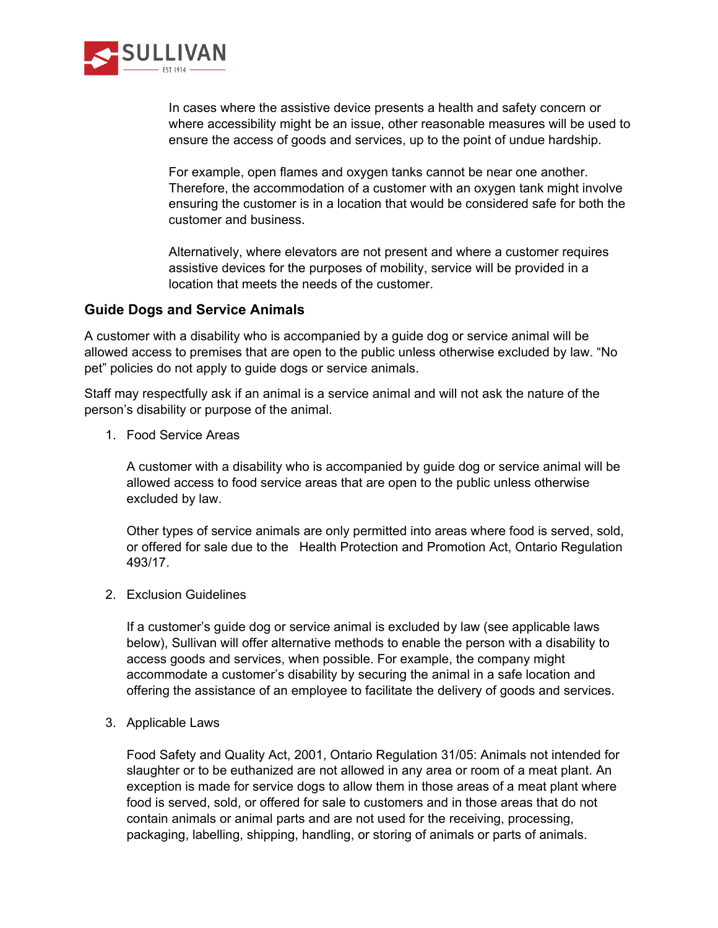

In cases where the assistive device presents a health and safety concern or where accessibility might be an issue, other reasonable measures will be used to ensure the access of goods and services, up to the point of undue hardship.

For example, open flames and oxygen tanks cannot be near one another. Therefore, the accommodation of a customer with an oxygen tank might involve ensuring the customer is in a location that would be considered safe for both the customer and business.

Alternatively, where elevators are not present and where a customer requires assistive devices for the purposes of mobility, service will be provided in a location that meets the needs of the customer.

#### **Guide Dogs and Service Animals**

A customer with a disability who is accompanied by a guide dog or service animal will be allowed access to premises that are open to the public unless otherwise excluded by law. "No pet" policies do not apply to guide dogs or service animals.

Staff may respectfully ask if an animal is a service animal and will not ask the nature of the person's disability or purpose of the animal.

1. Food Service Areas

A customer with a disability who is accompanied by guide dog or service animal will be allowed access to food service areas that are open to the public unless otherwise excluded by law.

Other types of service animals are only permitted into areas where food is served, sold, or offered for sale due to the Health Protection and Promotion Act, Ontario Regulation 493/17.

2. Exclusion Guidelines

If a customer's guide dog or service animal is excluded by law (see applicable laws below), Sullivan will offer alternative methods to enable the person with a disability to access goods and services, when possible. For example, the company might accommodate a customer's disability by securing the animal in a safe location and offering the assistance of an employee to facilitate the delivery of goods and services.

3. Applicable Laws

Food Safety and Quality Act, 2001, Ontario Regulation 31/05: Animals not intended for slaughter or to be euthanized are not allowed in any area or room of a meat plant. An exception is made for service dogs to allow them in those areas of a meat plant where food is served, sold, or offered for sale to customers and in those areas that do not contain animals or animal parts and are not used for the receiving, processing, packaging, labelling, shipping, handling, or storing of animals or parts of animals.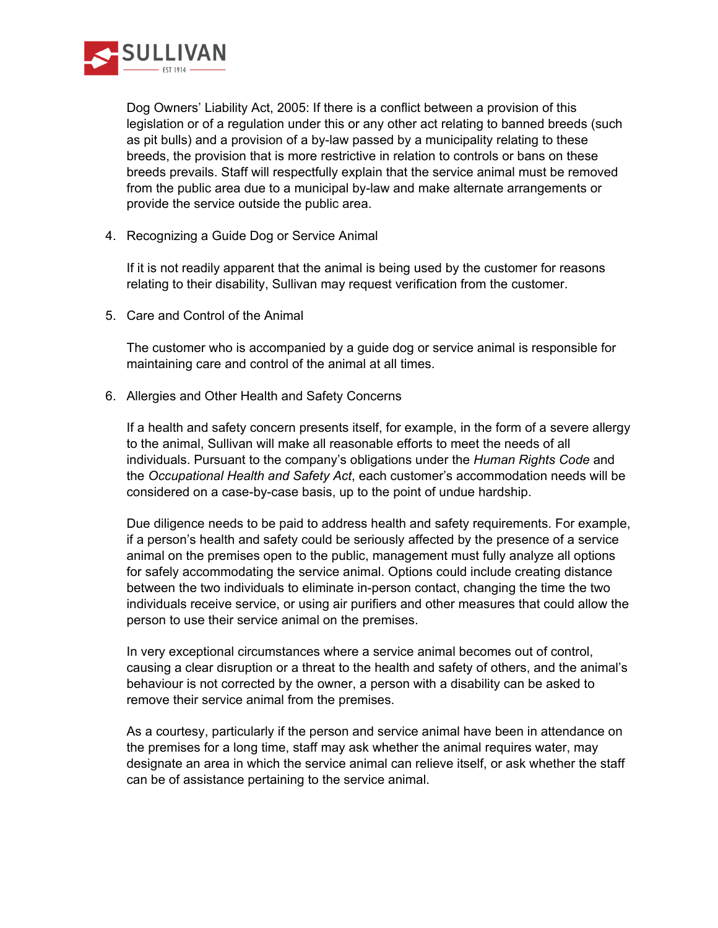

Dog Owners' Liability Act, 2005: If there is a conflict between a provision of this legislation or of a regulation under this or any other act relating to banned breeds (such as pit bulls) and a provision of a by-law passed by a municipality relating to these breeds, the provision that is more restrictive in relation to controls or bans on these breeds prevails. Staff will respectfully explain that the service animal must be removed from the public area due to a municipal by-law and make alternate arrangements or provide the service outside the public area.

4. Recognizing a Guide Dog or Service Animal

If it is not readily apparent that the animal is being used by the customer for reasons relating to their disability, Sullivan may request verification from the customer.

5. Care and Control of the Animal

The customer who is accompanied by a guide dog or service animal is responsible for maintaining care and control of the animal at all times.

6. Allergies and Other Health and Safety Concerns

If a health and safety concern presents itself, for example, in the form of a severe allergy to the animal, Sullivan will make all reasonable efforts to meet the needs of all individuals. Pursuant to the company's obligations under the *Human Rights Code* and the *Occupational Health and Safety Act*, each customer's accommodation needs will be considered on a case-by-case basis, up to the point of undue hardship.

Due diligence needs to be paid to address health and safety requirements. For example, if a person's health and safety could be seriously affected by the presence of a service animal on the premises open to the public, management must fully analyze all options for safely accommodating the service animal. Options could include creating distance between the two individuals to eliminate in-person contact, changing the time the two individuals receive service, or using air purifiers and other measures that could allow the person to use their service animal on the premises.

In very exceptional circumstances where a service animal becomes out of control, causing a clear disruption or a threat to the health and safety of others, and the animal's behaviour is not corrected by the owner, a person with a disability can be asked to remove their service animal from the premises.

As a courtesy, particularly if the person and service animal have been in attendance on the premises for a long time, staff may ask whether the animal requires water, may designate an area in which the service animal can relieve itself, or ask whether the staff can be of assistance pertaining to the service animal.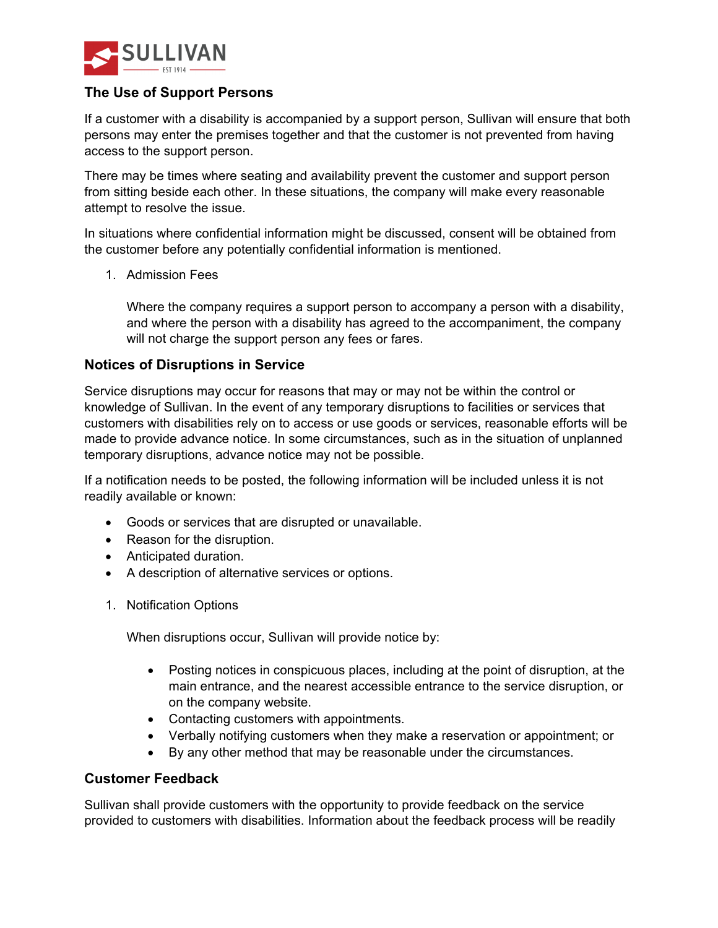

## **The Use of Support Persons**

If a customer with a disability is accompanied by a support person, Sullivan will ensure that both persons may enter the premises together and that the customer is not prevented from having access to the support person.

There may be times where seating and availability prevent the customer and support person from sitting beside each other. In these situations, the company will make every reasonable attempt to resolve the issue.

In situations where confidential information might be discussed, consent will be obtained from the customer before any potentially confidential information is mentioned.

1. Admission Fees

Where the company requires a support person to accompany a person with a disability, and where the person with a disability has agreed to the accompaniment, the company will not charge the support person any fees or fares.

### **Notices of Disruptions in Service**

Service disruptions may occur for reasons that may or may not be within the control or knowledge of Sullivan. In the event of any temporary disruptions to facilities or services that customers with disabilities rely on to access or use goods or services, reasonable efforts will be made to provide advance notice. In some circumstances, such as in the situation of unplanned temporary disruptions, advance notice may not be possible.

If a notification needs to be posted, the following information will be included unless it is not readily available or known:

- Goods or services that are disrupted or unavailable.
- Reason for the disruption.
- Anticipated duration.
- A description of alternative services or options.
- 1. Notification Options

When disruptions occur, Sullivan will provide notice by:

- Posting notices in conspicuous places, including at the point of disruption, at the main entrance, and the nearest accessible entrance to the service disruption, or on the company website.
- Contacting customers with appointments.
- Verbally notifying customers when they make a reservation or appointment; or
- By any other method that may be reasonable under the circumstances.

#### **Customer Feedback**

Sullivan shall provide customers with the opportunity to provide feedback on the service provided to customers with disabilities. Information about the feedback process will be readily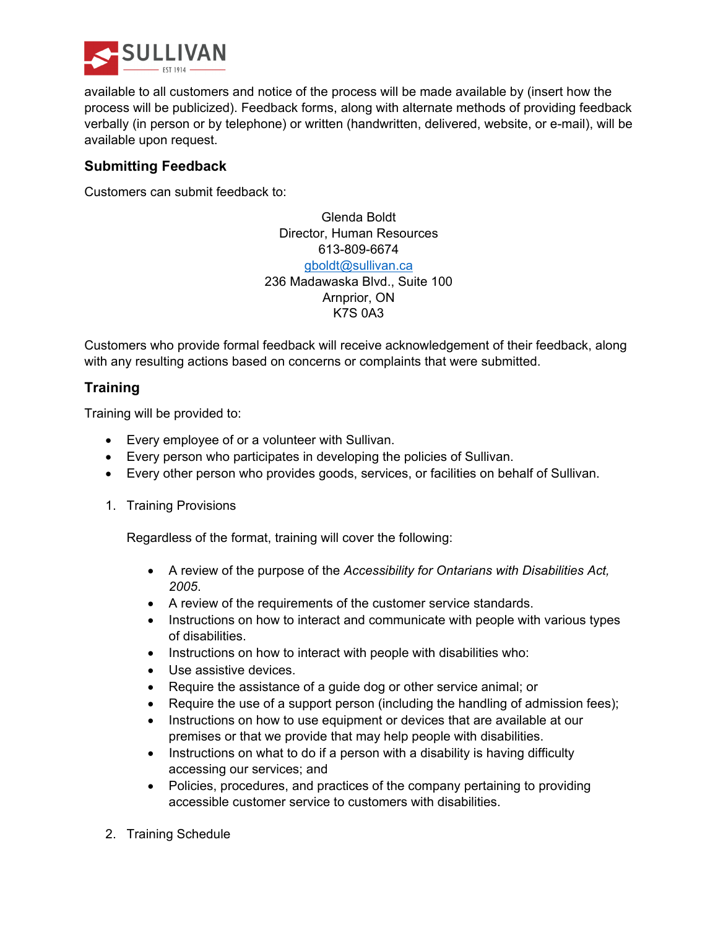

available to all customers and notice of the process will be made available by (insert how the process will be publicized). Feedback forms, along with alternate methods of providing feedback verbally (in person or by telephone) or written (handwritten, delivered, website, or e-mail), will be available upon request.

## **Submitting Feedback**

Customers can submit feedback to:

Glenda Boldt Director, Human Resources 613-809-6674 gboldt@sullivan.ca 236 Madawaska Blvd., Suite 100 Arnprior, ON K7S 0A3

Customers who provide formal feedback will receive acknowledgement of their feedback, along with any resulting actions based on concerns or complaints that were submitted.

## **Training**

Training will be provided to:

- Every employee of or a volunteer with Sullivan.
- Every person who participates in developing the policies of Sullivan.
- Every other person who provides goods, services, or facilities on behalf of Sullivan.
- 1. Training Provisions

Regardless of the format, training will cover the following:

- A review of the purpose of the *Accessibility for Ontarians with Disabilities Act, 2005*.
- A review of the requirements of the customer service standards.
- Instructions on how to interact and communicate with people with various types of disabilities.
- Instructions on how to interact with people with disabilities who:
- Use assistive devices.
- Require the assistance of a guide dog or other service animal; or
- Require the use of a support person (including the handling of admission fees);
- Instructions on how to use equipment or devices that are available at our premises or that we provide that may help people with disabilities.
- Instructions on what to do if a person with a disability is having difficulty accessing our services; and
- Policies, procedures, and practices of the company pertaining to providing accessible customer service to customers with disabilities.
- 2. Training Schedule